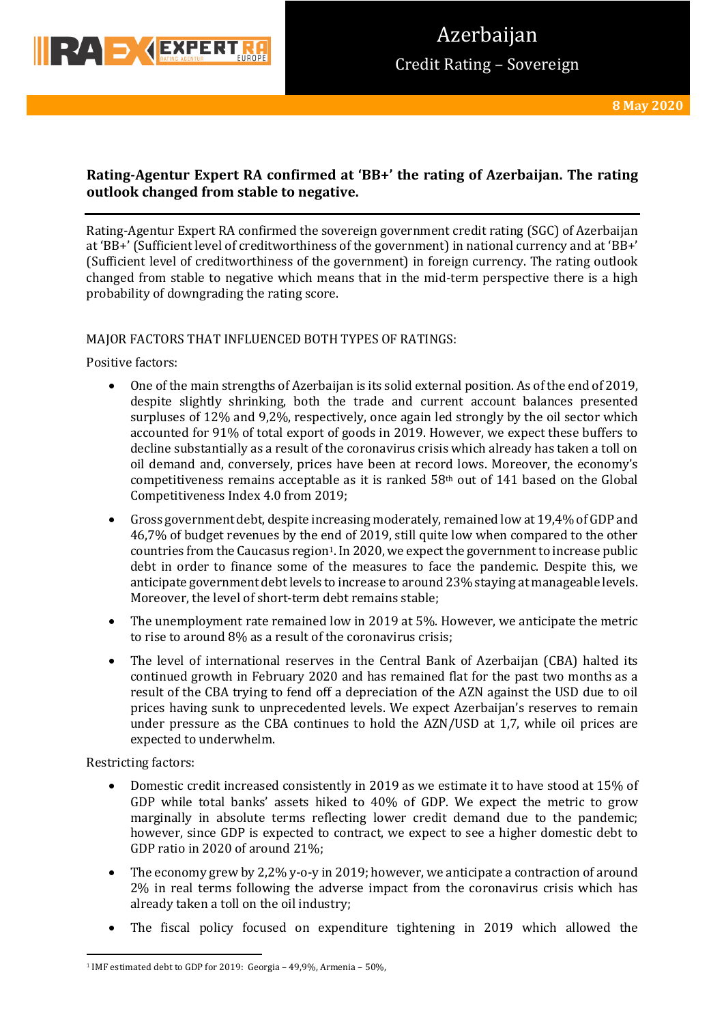

# **Rating-Agentur Expert RA confirmed at 'BB+' the rating of Azerbaijan. The rating outlook changed from stable to negative.**

Rating-Agentur Expert RA confirmed the sovereign government credit rating (SGC) of Azerbaijan at 'BB+' (Sufficient level of creditworthiness of the government) in national currency and at 'BB+' (Sufficient level of creditworthiness of the government) in foreign currency. The rating outlook changed from stable to negative which means that in the mid-term perspective there is a high probability of downgrading the rating score.

# MAJOR FACTORS THAT INFLUENCED BOTH TYPES OF RATINGS:

Positive factors:

- One of the main strengths of Azerbaijan is its solid external position. As of the end of 2019, despite slightly shrinking, both the trade and current account balances presented surpluses of 12% and 9,2%, respectively, once again led strongly by the oil sector which accounted for 91% of total export of goods in 2019. However, we expect these buffers to decline substantially as a result of the coronavirus crisis which already has taken a toll on oil demand and, conversely, prices have been at record lows. Moreover, the economy's competitiveness remains acceptable as it is ranked  $58<sup>th</sup>$  out of 141 based on the Global Competitiveness Index 4.0 from 2019;
- Gross government debt, despite increasing moderately, remained low at 19,4% of GDP and 46,7% of budget revenues by the end of 2019, still quite low when compared to the other countries from the Caucasus region<sup>1</sup>. In 2020, we expect the government to increase public debt in order to finance some of the measures to face the pandemic. Despite this, we anticipate government debt levels to increase to around 23% staying at manageable levels. Moreover, the level of short-term debt remains stable;
- The unemployment rate remained low in 2019 at 5%. However, we anticipate the metric to rise to around 8% as a result of the coronavirus crisis;
- The level of international reserves in the Central Bank of Azerbaijan (CBA) halted its continued growth in February 2020 and has remained flat for the past two months as a result of the CBA trying to fend off a depreciation of the AZN against the USD due to oil prices having sunk to unprecedented levels. We expect Azerbaijan's reserves to remain under pressure as the CBA continues to hold the  $AZN/USD$  at 1,7, while oil prices are expected to underwhelm.

Restricting factors:

- Domestic credit increased consistently in 2019 as we estimate it to have stood at 15% of GDP while total banks' assets hiked to  $40\%$  of GDP. We expect the metric to grow marginally in absolute terms reflecting lower credit demand due to the pandemic; however, since GDP is expected to contract, we expect to see a higher domestic debt to GDP ratio in 2020 of around 21%;
- The economy grew by 2,2% y-o-y in 2019; however, we anticipate a contraction of around  $2\%$  in real terms following the adverse impact from the coronavirus crisis which has already taken a toll on the oil industry;
- The fiscal policy focused on expenditure tightening in 2019 which allowed the

<sup>&</sup>lt;sup>1</sup> IMF estimated debt to GDP for 2019: Georgia – 49,9%, Armenia – 50%,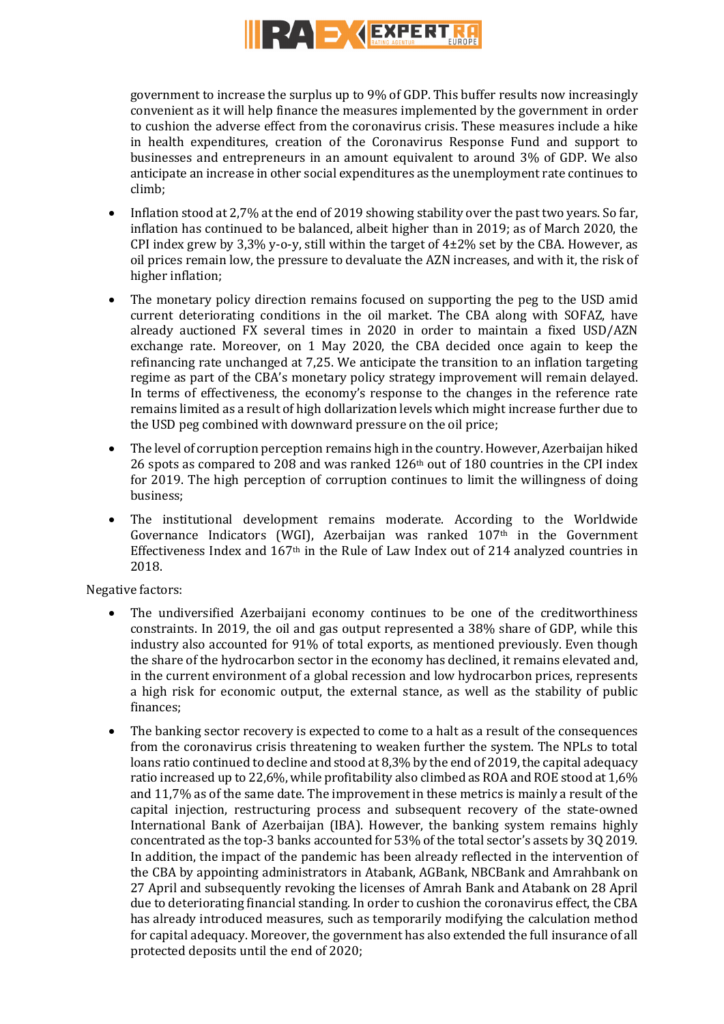

government to increase the surplus up to 9% of GDP. This buffer results now increasingly convenient as it will help finance the measures implemented by the government in order to cushion the adverse effect from the coronavirus crisis. These measures include a hike in health expenditures, creation of the Coronavirus Response Fund and support to businesses and entrepreneurs in an amount equivalent to around 3% of GDP. We also anticipate an increase in other social expenditures as the unemployment rate continues to climb;

- Inflation stood at 2,7% at the end of 2019 showing stability over the past two years. So far, inflation has continued to be balanced, albeit higher than in 2019; as of March 2020, the CPI index grew by 3,3% y-o-y, still within the target of  $4\pm2\%$  set by the CBA. However, as oil prices remain low, the pressure to devaluate the AZN increases, and with it, the risk of higher inflation:
- The monetary policy direction remains focused on supporting the peg to the USD amid current deteriorating conditions in the oil market. The CBA along with SOFAZ, have already auctioned FX several times in 2020 in order to maintain a fixed USD/AZN exchange rate. Moreover, on 1 May 2020, the CBA decided once again to keep the refinancing rate unchanged at  $7,25$ . We anticipate the transition to an inflation targeting regime as part of the CBA's monetary policy strategy improvement will remain delayed. In terms of effectiveness, the economy's response to the changes in the reference rate remains limited as a result of high dollarization levels which might increase further due to the USD peg combined with downward pressure on the oil price;
- The level of corruption perception remains high in the country. However, Azerbaijan hiked 26 spots as compared to 208 and was ranked  $126<sup>th</sup>$  out of 180 countries in the CPI index for 2019. The high perception of corruption continues to limit the willingness of doing business;
- The institutional development remains moderate. According to the Worldwide Governance Indicators (WGI), Azerbaijan was ranked 107<sup>th</sup> in the Government Effectiveness Index and  $167<sup>th</sup>$  in the Rule of Law Index out of 214 analyzed countries in 2018.

Negative factors:

- The undiversified Azerbaijani economy continues to be one of the creditworthiness constraints. In 2019, the oil and gas output represented a 38% share of GDP, while this industry also accounted for 91% of total exports, as mentioned previously. Even though the share of the hydrocarbon sector in the economy has declined, it remains elevated and, in the current environment of a global recession and low hydrocarbon prices, represents a high risk for economic output, the external stance, as well as the stability of public finances;
- The banking sector recovery is expected to come to a halt as a result of the consequences from the coronavirus crisis threatening to weaken further the system. The NPLs to total loans ratio continued to decline and stood at  $8,3\%$  by the end of 2019, the capital adequacy ratio increased up to 22,6%, while profitability also climbed as ROA and ROE stood at  $1,6\%$ and 11,7% as of the same date. The improvement in these metrics is mainly a result of the capital injection, restructuring process and subsequent recovery of the state-owned International Bank of Azerbaijan (IBA). However, the banking system remains highly concentrated as the top-3 banks accounted for 53% of the total sector's assets by 3Q 2019. In addition, the impact of the pandemic has been already reflected in the intervention of the CBA by appointing administrators in Atabank, AGBank, NBCBank and Amrahbank on 27 April and subsequently revoking the licenses of Amrah Bank and Atabank on 28 April due to deteriorating financial standing. In order to cushion the coronavirus effect, the CBA has already introduced measures, such as temporarily modifying the calculation method for capital adequacy. Moreover, the government has also extended the full insurance of all protected deposits until the end of 2020;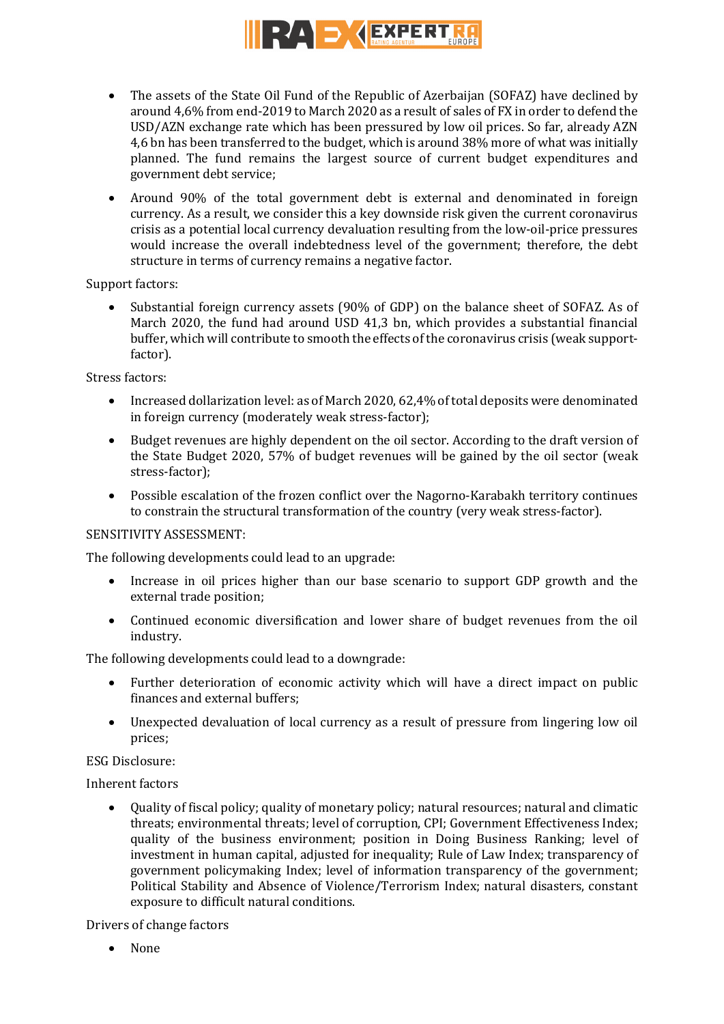

- The assets of the State Oil Fund of the Republic of Azerbaijan (SOFAZ) have declined by around 4,6% from end-2019 to March 2020 as a result of sales of FX in order to defend the USD/AZN exchange rate which has been pressured by low oil prices. So far, already AZN 4.6 bn has been transferred to the budget, which is around 38% more of what was initially planned. The fund remains the largest source of current budget expenditures and government debt service;
- Around 90% of the total government debt is external and denominated in foreign currency. As a result, we consider this a key downside risk given the current coronavirus crisis as a potential local currency devaluation resulting from the low-oil-price pressures would increase the overall indebtedness level of the government; therefore, the debt structure in terms of currency remains a negative factor.

Support factors:

• Substantial foreign currency assets (90% of GDP) on the balance sheet of SOFAZ. As of March 2020, the fund had around USD 41,3 bn, which provides a substantial financial buffer, which will contribute to smooth the effects of the coronavirus crisis (weak supportfactor). 

Stress factors:

- Increased dollarization level: as of March 2020, 62,4% of total deposits were denominated in foreign currency (moderately weak stress-factor);
- Budget revenues are highly dependent on the oil sector. According to the draft version of the State Budget 2020, 57% of budget revenues will be gained by the oil sector (weak stress-factor);
- Possible escalation of the frozen conflict over the Nagorno-Karabakh territory continues to constrain the structural transformation of the country (very weak stress-factor).

# SENSITIVITY ASSESSMENT:

The following developments could lead to an upgrade:

- Increase in oil prices higher than our base scenario to support GDP growth and the external trade position:
- Continued economic diversification and lower share of budget revenues from the oil industry.

The following developments could lead to a downgrade:

- Further deterioration of economic activity which will have a direct impact on public finances and external buffers;
- Unexpected devaluation of local currency as a result of pressure from lingering low oil prices;

ESG Disclosure:

Inherent factors

• Quality of fiscal policy; quality of monetary policy; natural resources; natural and climatic threats; environmental threats; level of corruption, CPI; Government Effectiveness Index; quality of the business environment; position in Doing Business Ranking; level of investment in human capital, adjusted for inequality; Rule of Law Index; transparency of government policymaking Index; level of information transparency of the government; Political Stability and Absence of Violence/Terrorism Index; natural disasters, constant exposure to difficult natural conditions.

Drivers of change factors

• None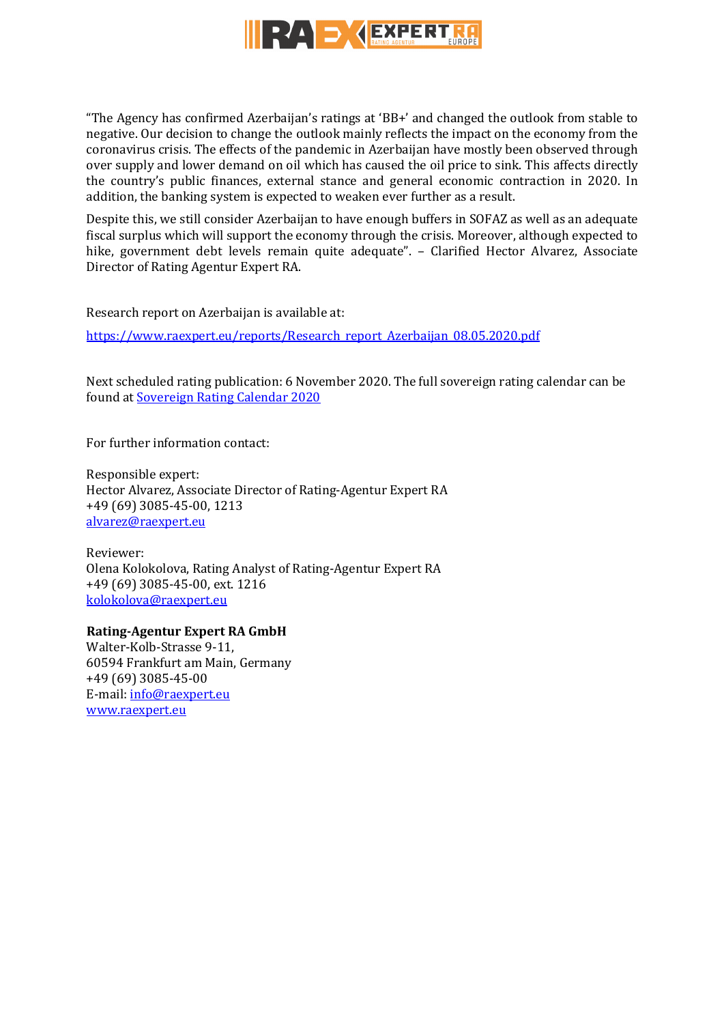

"The Agency has confirmed Azerbaijan's ratings at 'BB+' and changed the outlook from stable to negative. Our decision to change the outlook mainly reflects the impact on the economy from the coronavirus crisis. The effects of the pandemic in Azerbaijan have mostly been observed through over supply and lower demand on oil which has caused the oil price to sink. This affects directly the country's public finances, external stance and general economic contraction in 2020. In addition, the banking system is expected to weaken ever further as a result.

Despite this, we still consider Azerbaijan to have enough buffers in SOFAZ as well as an adequate fiscal surplus which will support the economy through the crisis. Moreover, although expected to hike, government debt levels remain quite adequate". - Clarified Hector Alvarez, Associate Director of Rating Agentur Expert RA.

Research report on Azerbaijan is available at:

https://www.raexpert.eu/reports/Research\_report\_Azerbaijan\_08.05.2020.pdf

Next scheduled rating publication: 6 November 2020. The full sovereign rating calendar can be found at Sovereign Rating Calendar 2020

For further information contact:

Responsible expert: Hector Alvarez, Associate Director of Rating-Agentur Expert RA +49 (69) 3085-45-00, 1213 alvarez@raexpert.eu

Reviewer: Olena Kolokolova, Rating Analyst of Rating-Agentur Expert RA +49 (69) 3085-45-00, ext. 1216 kolokolova@raexpert.eu

# **Rating-Agentur Expert RA GmbH**

Walter-Kolb-Strasse 9-11. 60594 Frankfurt am Main, Germany +49 (69) 3085-45-00 E-mail: info@raexpert.eu www.raexpert.eu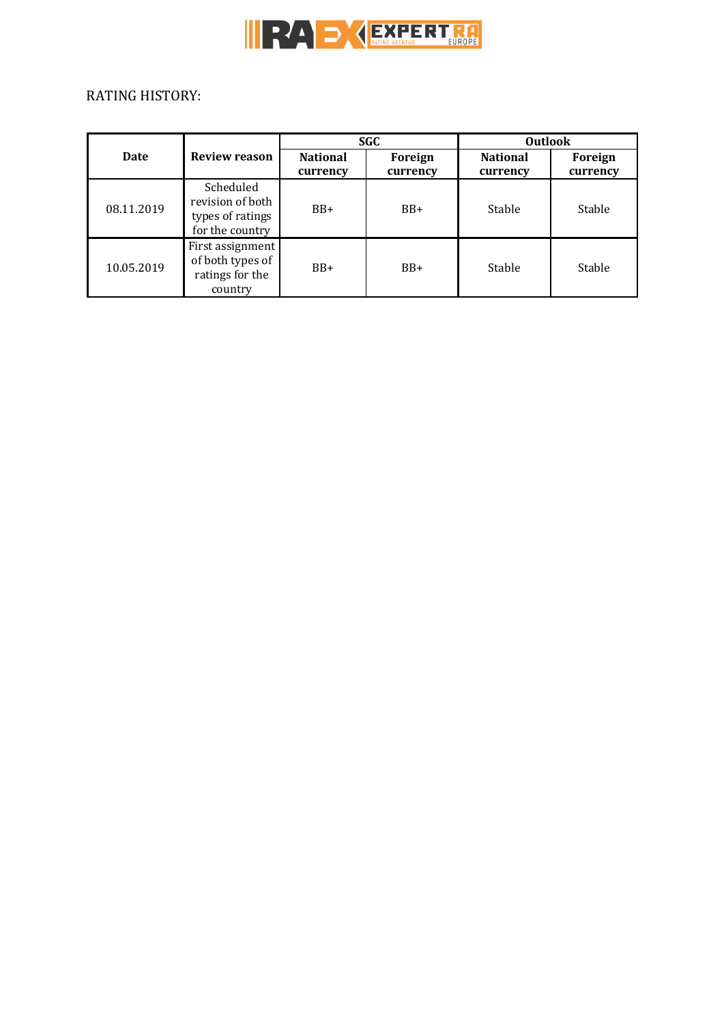

# RATING HISTORY:

|             |                                                                      | <b>SGC</b>                  |                     | <b>Outlook</b>              |                     |
|-------------|----------------------------------------------------------------------|-----------------------------|---------------------|-----------------------------|---------------------|
| <b>Date</b> | <b>Review reason</b>                                                 | <b>National</b><br>currency | Foreign<br>currency | <b>National</b><br>currency | Foreign<br>currency |
| 08.11.2019  | Scheduled<br>revision of both<br>types of ratings<br>for the country | $BB+$                       | $BB+$               | Stable                      | Stable              |
| 10.05.2019  | First assignment<br>of both types of<br>ratings for the<br>country   | $BB+$                       | $BB+$               | Stable                      | Stable              |